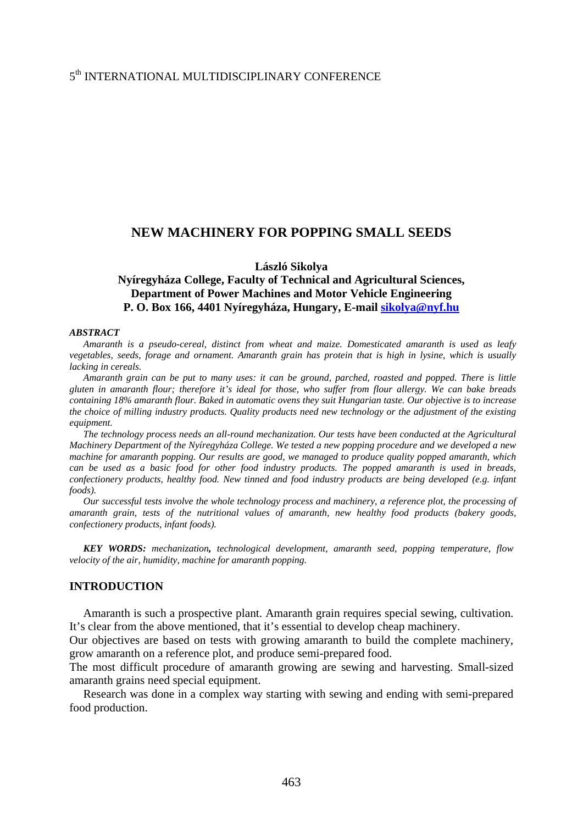#### 5th INTERNATIONAL MULTIDISCIPLINARY CONFERENCE

### **NEW MACHINERY FOR POPPING SMALL SEEDS**

**László Sikolya** 

## **Nyíregyháza College, Faculty of Technical and Agricultural Sciences, Department of Power Machines and Motor Vehicle Engineering P. O. Box 166, 4401 Nyíregyháza, Hungary, E-mail [sikolya@nyf.hu](mailto:sikolya@nyf.hu)**

#### *ABSTRACT*

*Amaranth is a pseudo-cereal, distinct from wheat and maize. Domesticated amaranth is used as leafy vegetables, seeds, forage and ornament. Amaranth grain has protein that is high in lysine, which is usually lacking in cereals.* 

*Amaranth grain can be put to many uses: it can be ground, parched, roasted and popped. There is little gluten in amaranth flour; therefore it's ideal for those, who suffer from flour allergy. We can bake breads containing 18% amaranth flour. Baked in automatic ovens they suit Hungarian taste. Our objective is to increase the choice of milling industry products. Quality products need new technology or the adjustment of the existing equipment.* 

*The technology process needs an all-round mechanization. Our tests have been conducted at the Agricultural Machinery Department of the Nyíregyháza College. We tested a new popping procedure and we developed a new machine for amaranth popping. Our results are good, we managed to produce quality popped amaranth, which can be used as a basic food for other food industry products. The popped amaranth is used in breads, confectionery products, healthy food. New tinned and food industry products are being developed (e.g. infant foods).* 

*Our successful tests involve the whole technology process and machinery, a reference plot, the processing of amaranth grain, tests of the nutritional values of amaranth, new healthy food products (bakery goods, confectionery products, infant foods).* 

*KEY WORDS: mechanization, technological development, amaranth seed, popping temperature, flow velocity of the air, humidity, machine for amaranth popping.* 

#### **INTRODUCTION**

Amaranth is such a prospective plant. Amaranth grain requires special sewing, cultivation. It's clear from the above mentioned, that it's essential to develop cheap machinery.

Our objectives are based on tests with growing amaranth to build the complete machinery, grow amaranth on a reference plot, and produce semi-prepared food.

The most difficult procedure of amaranth growing are sewing and harvesting. Small-sized amaranth grains need special equipment.

Research was done in a complex way starting with sewing and ending with semi-prepared food production.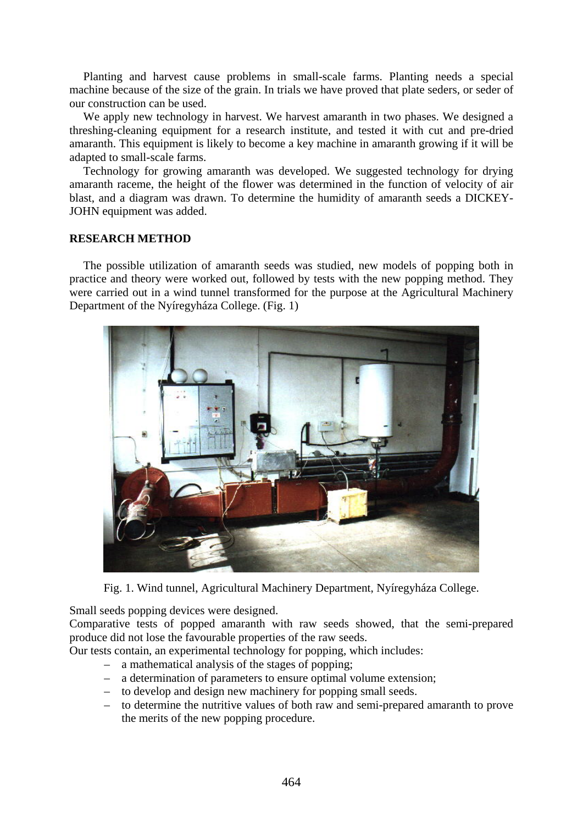Planting and harvest cause problems in small-scale farms. Planting needs a special machine because of the size of the grain. In trials we have proved that plate seders, or seder of our construction can be used.

We apply new technology in harvest. We harvest amaranth in two phases. We designed a threshing-cleaning equipment for a research institute, and tested it with cut and pre-dried amaranth. This equipment is likely to become a key machine in amaranth growing if it will be adapted to small-scale farms.

Technology for growing amaranth was developed. We suggested technology for drying amaranth raceme, the height of the flower was determined in the function of velocity of air blast, and a diagram was drawn. To determine the humidity of amaranth seeds a DICKEY-JOHN equipment was added.

## **RESEARCH METHOD**

The possible utilization of amaranth seeds was studied, new models of popping both in practice and theory were worked out, followed by tests with the new popping method. They were carried out in a wind tunnel transformed for the purpose at the Agricultural Machinery Department of the Nyíregyháza College. (Fig. 1)



Fig. 1. Wind tunnel, Agricultural Machinery Department, Nyíregyháza College.

Small seeds popping devices were designed.

Comparative tests of popped amaranth with raw seeds showed, that the semi-prepared produce did not lose the favourable properties of the raw seeds.

- Our tests contain, an experimental technology for popping, which includes:
	- a mathematical analysis of the stages of popping;
	- a determination of parameters to ensure optimal volume extension;
	- to develop and design new machinery for popping small seeds.
	- to determine the nutritive values of both raw and semi-prepared amaranth to prove the merits of the new popping procedure.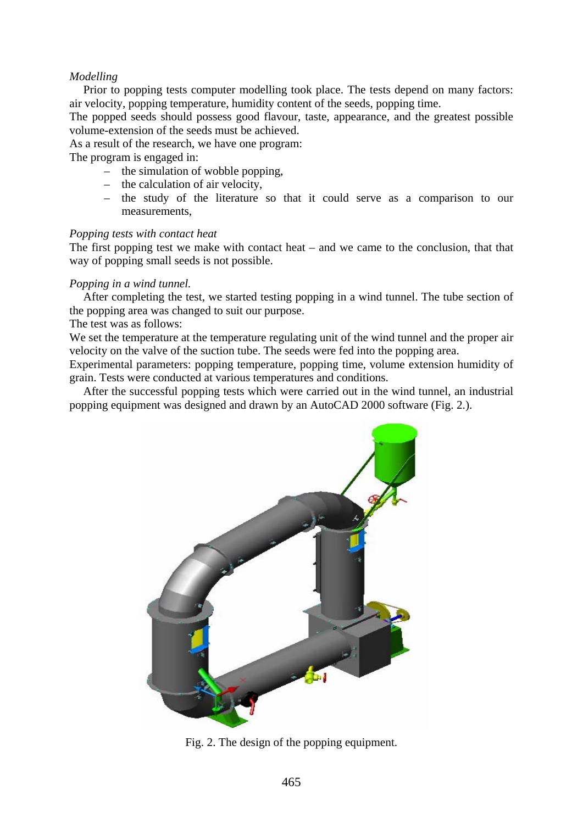## *Modelling*

Prior to popping tests computer modelling took place. The tests depend on many factors: air velocity, popping temperature, humidity content of the seeds, popping time.

The popped seeds should possess good flavour, taste, appearance, and the greatest possible volume-extension of the seeds must be achieved.

As a result of the research, we have one program:

The program is engaged in:

- the simulation of wobble popping,
- the calculation of air velocity,
- the study of the literature so that it could serve as a comparison to our measurements,

#### *Popping tests with contact heat*

The first popping test we make with contact heat – and we came to the conclusion, that that way of popping small seeds is not possible.

#### *Popping in a wind tunnel.*

After completing the test, we started testing popping in a wind tunnel. The tube section of the popping area was changed to suit our purpose.

The test was as follows:

We set the temperature at the temperature regulating unit of the wind tunnel and the proper air velocity on the valve of the suction tube. The seeds were fed into the popping area.

Experimental parameters: popping temperature, popping time, volume extension humidity of grain. Tests were conducted at various temperatures and conditions.

After the successful popping tests which were carried out in the wind tunnel, an industrial popping equipment was designed and drawn by an AutoCAD 2000 software (Fig. 2.).



Fig. 2. The design of the popping equipment.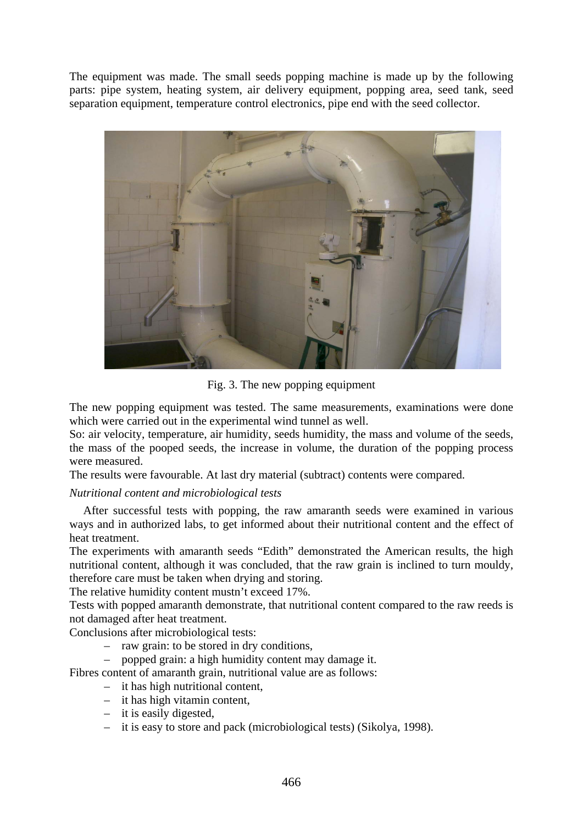The equipment was made. The small seeds popping machine is made up by the following parts: pipe system, heating system, air delivery equipment, popping area, seed tank, seed separation equipment, temperature control electronics, pipe end with the seed collector.



Fig. 3. The new popping equipment

The new popping equipment was tested. The same measurements, examinations were done which were carried out in the experimental wind tunnel as well.

So: air velocity, temperature, air humidity, seeds humidity, the mass and volume of the seeds, the mass of the pooped seeds, the increase in volume, the duration of the popping process were measured.

The results were favourable. At last dry material (subtract) contents were compared.

## *Nutritional content and microbiological tests*

After successful tests with popping, the raw amaranth seeds were examined in various ways and in authorized labs, to get informed about their nutritional content and the effect of heat treatment.

The experiments with amaranth seeds "Edith" demonstrated the American results, the high nutritional content, although it was concluded, that the raw grain is inclined to turn mouldy, therefore care must be taken when drying and storing.

The relative humidity content mustn't exceed 17%.

Tests with popped amaranth demonstrate, that nutritional content compared to the raw reeds is not damaged after heat treatment.

Conclusions after microbiological tests:

- raw grain: to be stored in dry conditions,
- popped grain: a high humidity content may damage it.

Fibres content of amaranth grain, nutritional value are as follows:

- it has high nutritional content,
- it has high vitamin content,
- it is easily digested,
- it is easy to store and pack (microbiological tests) (Sikolya, 1998).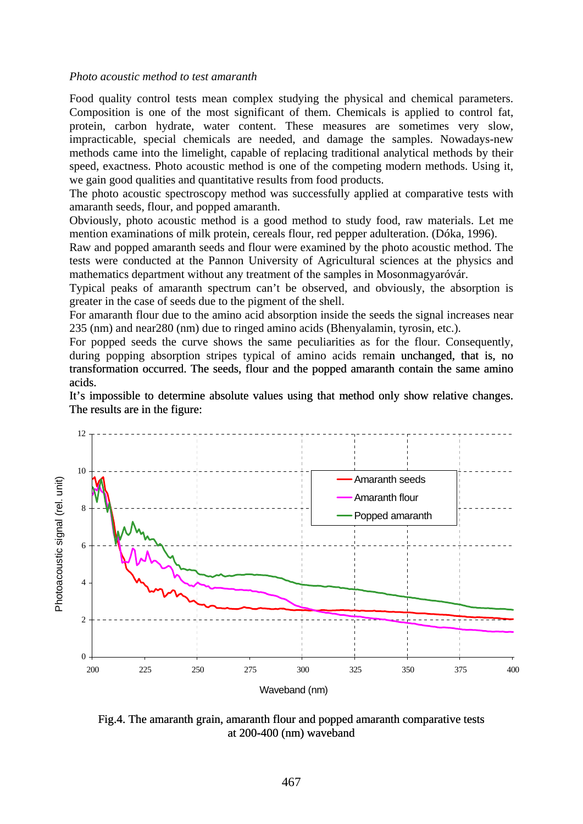#### *Photo acoustic method to test amaranth*

Food quality control tests mean complex studying the physical and chemical parameters. Composition is one of the most significant of them. Chemicals is applied to control fat, protein, carbon hydrate, water content. These measures are sometimes very slow, impracticable, special chemicals are needed, and damage the samples. Nowadays-new methods came into the limelight, capable of replacing traditional analytical methods by their speed, exactness. Photo acoustic method is one of the competing modern methods. Using it, we gain good qualities and quantitative results from food products.

The photo acoustic spectroscopy method was successfully applied at comparative tests with amaranth seeds, flour, and popped amaranth.

Obviously, photo acoustic method is a good method to study food, raw materials. Let me mention examinations of milk protein, cereals flour, red pepper adulteration. (Dóka, 1996).

Raw and popped amaranth seeds and flour were examined by the photo acoustic method. The tests were conducted at the Pannon University of Agricultural sciences at the physics and mathematics department without any treatment of the samples in Mosonmagyaróvár.

Typical peaks of amaranth spectrum can't be observed, and obviously, the absorption is greater in the case of seeds due to the pigment of the shell.

For amaranth flour due to the amino acid absorption inside the seeds the signal increases near 235 (nm) and near280 (nm) due to ringed amino acids (Bhenyalamin, tyrosin, etc.).

For popped seeds the curve shows the same peculiarities as for the flour. Consequently, during popping absorption stripes typical of amino acids remain unchanged, that is, no transformation occurred. The seeds, flour and the popped amaranth contain the same amino acids. during popping absorption stripes typical of amino acids remain unchanged, that is, no transformation occurred. The seeds, flour and the popped amaranth contain the same amino acids.<br>It's impossible to determine absolute v

The results are in the figure:



Fig.4. The amaranth grain, amaranth flour and popped amaranth comparative tests at 200-400 (nm) waveband